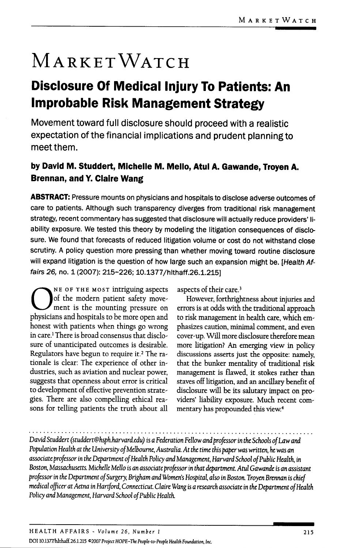# MARKETWATCH

# **Disclosure Of Medical Injury To Patients: An Improbable Risk Management Strategy**

Movement toward full disclosure should proceed with a realistic expectation of the financial implications and prudent planning to meet them.

## **by David M. Studdert, Michelle M. Melio, Atui A. Gawande, Troyen A. Brennan, and Y. Ciaire Wang**

**ABSTRACT:** Pressure mounts on physicians and hospitals to disclose adverse outcomes of care to patients. Although such transparency diverges from traditional risk management strategy, recent commentary has suggested that disclosure wiil actually reduce providers' liability exposure. We tested this theory by modeling the iitigation consequences of disclosure. We found that forecasts of reduced iitigation volume or cost do not withstand close scrutiny. A policy question more pressing than whether moving toward routine disclosure will expand litigation is the question of how large such an expansion might be. [Health Affairs 26, no. 1 (2007): 215-226; 10.1377/hithaff.26.1.215]

ONE OF THE MOST intriguing aspects aspects of their care.<sup>3</sup><br>
of the modern patient safety move-<br>
physicians and hospitals to be more open and to risk management in health care, which em-NE OF THE MOST intriguing aspects aspects of their care.<sup>3</sup> of the modern patient safety move-<br>Not the modern patient safety movehonest with patients when things go wrong phasizes caution, minimal comment, and even in care.<sup>1</sup> There is broad consensus that disclo- cover-up. Will more disclosure therefore mean sure of unanticipated outcomes is desirable, more litigation? An emerging view in policy Regulators have begun to require it.<sup>2</sup> The ra- discussions asserts just the opposite: namely, tionale is clear: The experience of other in- that the bunker mentality of traditional risk dustries, such as aviation and nuclear power, management is flawed, it stokes rather than suggests that openness about error is critical staves off litigation, and an ancillary benefit of to development of effective prevention strate- disclosure will be its salutary impact on progies. There are also compelling ethical rea- viders' liability exposure. Much recent comsons for telling patients the truth about all mentary has propounded this view.<sup>4</sup>

However, forthrightness about injuries and ment is the mounting pressure on errors is at odds with the traditional approach

*David Studdert (studden@hspkharvard.edu) is a* Federation Fellow *and professor in the Schools of Law and Population Health at the University of Melbourne, Australia. At the time this paper was written, he was an associate professor in the Department of Health Policy and Management, Harvard School of Public Health, in Boston, Massachusetts.* Michelle Mello *is an associate professor in that department. Atul Gawande is an assistant professor in the Department of Surgery, Brigham and Women's Hospital also in Boston. Troyen Brennan is chief medical officer at Aetna in Hartford, Connecticut. Claire Wang is a research associate in the Department of Health Policy and Management, Harvard School of Public Health*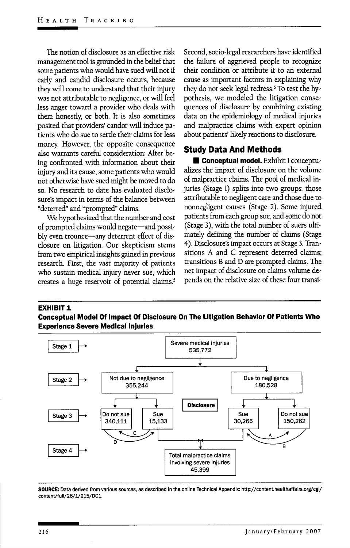The notion of disclosure as an effective risk management tool is grounded in the belief that some patients who would have sued will not if early and candid disclosure occurs, because they will come to understand that their injury was not attributable to neghgence, or wiU feel less anger toward a provider who deals with them honestly, or both. It is also sometimes posited that providers' candor wiU induce patients who do sue to settle their claims for less money. However, the opposite consequence also warrants careful consideration; After being confronted with information about their injury and its cause, some patients who would not otherwise have sued might be moved to do so. No research to date has evaluated disclosure's impact in terms of the balance between "deterred" and "prompted" claims.

We hypothesized that the number and cost of prompted claims would negate—and possibly even trounce—any deterrent effect of disclosure on litigation. Our skepticism stems from two empirical insights gained in previous research. First, the vast majority of patients who sustain medical injury never sue, which creates a huge reservoir of potential claims.<sup>5</sup> Second, socio-legal researchers have identified the failure of aggrieved people to recognize their condition or attribute it to an external cause as important factors in explaining why they do not seek legal redress.<sup>6</sup> To test the hypothesis, we modeled the litigation consequences of disclosure by combining existing data on the epidemiology of medical injuries and malpractice claims with expert opinion about patients' likely reactions to disclosure.

#### **Study Data And Methods**

**• Conceptual model.** Exhibit 1 conceptualizes the impact of disclosure on the volume of malpractice claims. The pool of medical injuries (Stage 1) splits into two groups: those attributable to neghgent care and those due to normegligent causes (Stage 2). Some injured patients from each group sue, and some do not (Stage 3), with the total number of suers ultimately defining the number of claims (Stage 4). Disclosure's impact occurs at Stage 3. Transitions A and C represent deterred claims; transitions B and D are prompted claims. The net impact of disclosure on claims volume depends on the relative size of these four transi-

#### **EXHIBIT 1 Conceptuai Model Of Impact Of Disclosure On The Litigation Behavior Of Patients Who Experience Severe Medical Injuries**



SOURCE: Data derived from various sources, as described in the online Technical Appendix: http://content.healthaffairs.org/cgi/ content/full/26/1/215/DC1.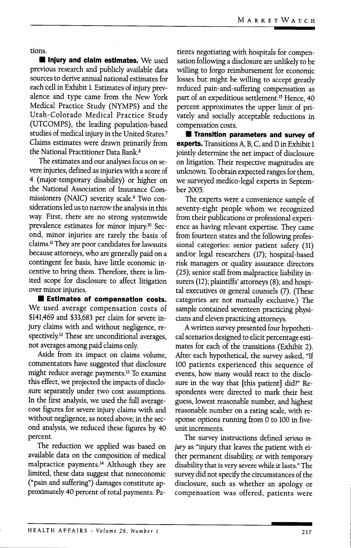tions.

 $\blacksquare$  **Injury and claim estimates.** We used previous research and publicly available data sources to derive armual narional estimates for each cell in Exhibit 1. Estimates of injury prevalence and type came from the New York Medical Practice Study (NYMPS) and the Utah-Colorado Medical Practice Study (UTCOMPS), the leading population-based studies of medical injury in the United States.^ Claims estimates were drawn primarily from the National Practitioner Data Bank.<sup>8</sup>

The estimates and our analyses focus on severe injuries, defined as injuries with a score of 4 (major-temporary disability) or higher on the Narional Associarion of Insurance Commissioners (NAIC) severity scale.<sup>9</sup> Two considerarions led us to narrow the analysis in this way. Eirst, there are no strong systemwide prevalence estimates for minor injury.<sup>10</sup> Second, minor injuries are rarely the basis of claims." They are poor candidates for lawsuits because attorneys, who are generally paid on a contingent fee basis, have little economic incenrive to bring them. Therefore, there is limited scope for disclosure to affect lirigarion over minor injuries.

**• Estimates of compensation costs.** We used average compensation costs of \$141,469 and \$33,683 per claim for severe injury claims with and without negligence, respectively.<sup>12</sup> These are unconditional averages, not averages among paid claims only.

Aside from its impact on claims volume, commentators have suggested that disclosure might reduce average payments." To examine this effect, we projected the impacts of disclosure separately under two cost assumprions. In the first analysis, we used the full averagecost figures for severe injury claims with and without negligence, as noted above; in the second analysis, we reduced these figures by 40 percent.

The reduction we applied was based on available data on the composirion of medical malpractice payments.<sup>14</sup> Although they are limited, these data suggest that noneconomic ("pain and suffering") damages consritute approximately 40 percent of total payments. Parients negoriating with hospitals for compensarion following a disclosure are unlikely to be willing to forgo reimbursement for economic losses but might be willing to accept greatly reduced pain-and-suffering compensarion as part of an expeditious settlement.<sup>15</sup> Hence, 40 percent approximates the upper limit of privately and socially acceptable reducrions in compensarion costs.

 $\blacksquare$  Transition parameters and survey of **experts.** Transirions A, B, C, and D in Exhibit 1 jointly determine the net impact of disclosure on litigation. Their respective magnitudes are unknown. To obtain expected ranges for them, we surveyed medico-legal experts in September 2005.

The experts were a convenience sample of seventy-eight people whom we recognized from their publicarions or professional experience as having relevant experrise. They came from fourteen states and the following professional categories: senior patient safety (31) and/or legal researchers (17); hospital-based risk managers or quality assurance directors (25); senior staff from malpractice liability insurers (12); plaintiffs' attorneys (8); and hospital execurives or general counsels (7). (These categories are not mutually exclusive.) The sample contained seventeen practicing physicians and eleven pracricing attorneys.

A written survey presented four hypotherical scenarios designed to elicit percentage esrimates for each of the transirions (Exhibit 2). After each hypotherical, the survey asked, "If 100 patients experienced this sequence of events, how many would react to the disclosure in the way that [this patient] did?" Respondents were directed to mark their best guess, lowest reasonable number, and highest reasonable number on a rating scale, with response options running from 0 to 100 in fiveunit increments.

The survey instructions defined serious in*jury* as "injury that leaves the parient with either permanent disability, or with temporary disability that is very severe while it lasts." The survey did not specify the circumstances of the disclosure, such as whether an apology or compensation was offered, patients were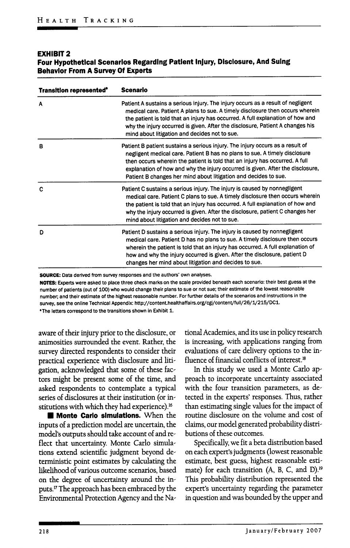#### **EXHiBiT 2 Four Hypotheticai Scenarios Regarding Patient injury, Disciosure, And Suing Behavior From A Survey Of Experts**

| <b>Transition represented</b> " | <b>Scenario</b>                                                                                                                                                                                                                                                                                                                                                                                 |  |  |  |  |
|---------------------------------|-------------------------------------------------------------------------------------------------------------------------------------------------------------------------------------------------------------------------------------------------------------------------------------------------------------------------------------------------------------------------------------------------|--|--|--|--|
| A                               | Patient A sustains a serious injury. The injury occurs as a result of negligent<br>medical care. Patient A plans to sue. A timely disclosure then occurs wherein<br>the patient is told that an injury has occurred. A full explanation of how and<br>why the injury occurred is given. After the disclosure, Patient A changes his<br>mind about litigation and decides not to sue.            |  |  |  |  |
| в                               | Patient B patient sustains a serious injury. The injury occurs as a result of<br>negligent medical care. Patient B has no plans to sue. A timely disclosure<br>then occurs wherein the patient is told that an injury has occurred. A full<br>explanation of how and why the injury occurred is given. After the disclosure,<br>Patient B changes her mind about litigation and decides to sue. |  |  |  |  |
| C                               | Patient C sustains a serious injury. The injury is caused by nonnegligent<br>medical care. Patient C plans to sue. A timely disclosure then occurs wherein<br>the patient is told that an injury has occurred. A full explanation of how and<br>why the injury occurred is given. After the disclosure, patient C changes her<br>mind about litigation and decides not to sue.                  |  |  |  |  |
| D                               | Patient D sustains a serious injury. The injury is caused by nonnegligent<br>medical care. Patient D has no plans to sue. A timely disclosure then occurs<br>wherein the patient is told that an injury has occurred. A full explanation of<br>how and why the injury occurred is given. After the disclosure, patient D<br>changes her mind about litigation and decides to sue.               |  |  |  |  |

SOURCE: Data derived from survey responses and the authors' own analyses.

NOTES: Experts were asked to place three check marks on the scaie provided beneath each scenario: their best guess at the number of patients (out of 100) who would change their plans to sue or not sue: their estimate of the lowest reasonable number; and their estimate of the highest reasonable number. For further detaiis of the scenarios and instructions in the survey, see the online Technical Appendix: http://content.healthaffairs.org/cgi/content/full/26/1/215/DC1.

•The letters correspond to the transitions shown in Exhibit 1.

animosities surrounded the event. Rather, the is increasing, with applications ranging from<br>survey directed respondents to consider their evaluations of care delivery options to the insurvey directed respondents to consider their practical experience with disclosure and liti-<br>gation, acknowledged that some of these fac-<br>In this study we used a Monte Carlo apgation, acknowledged that some of these factors might be present some of the time, and proach to incorporate uncertainty associated asked respondents to contemplate a typical with the four transition parameters, as deseries of disclosures at their institution (or in-<br>tected in the experts' responses. Thus, rather stitutions with which they had experience).<sup>16</sup> than estimating single values for the impact of

inputs of a prediction model are uncertain, the claims, our model generated probability distrimodel's outputs should take account of and re- butions of these outcomes. flect that uncertainty. Monte Carlo simula- Specifically, we fit a beta distribution based tions extend scientific judgment beyond de- on each expert's judgments (lowest reasonable terministic point estimates by calculating the estimate, best guess, highest reasonable estilikelihood of various outcome scenarios, based mate) for each transition (A, B, C, and D).<sup>19</sup> on the degree of uncertainty around the in-<br>This probability distribution represented the puts.<sup>17</sup> The approach has been embraced by the expert's uncertainty regarding the parameter Environmental Protection Agency and the Na- in question and was bounded by the upper and

aware of their injury prior to the disclosure, or tional Academies, and its use in pohcy research

**• Monte Carlo simulations.** When the routine disclosure on the volume and cost of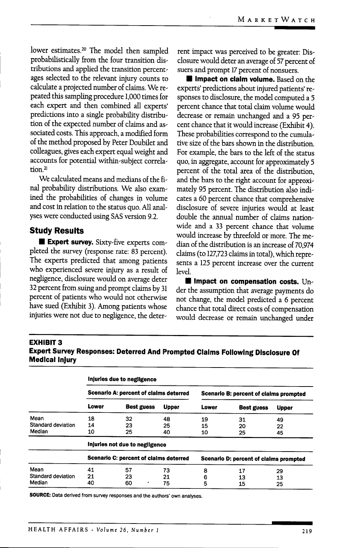lower estimates.<sup>20</sup> The model then sampled probabilistically from the four transition distributions and applied the transition percentages selected to the relevant injury counts to calculate a projected number of claims. We repeated this sampling procedure 1,000 times for each expert and then combined all experts' predictions into a single probability distribution of the expected number of claims and associated costs. This approach, a modified form of the method proposed by Peter Doublet and colleagues, gives each expert equal weight and accounts for potential within-subject correlation.<sup>21</sup>

We calculated means and medians of the final probability distributions. We also examined the probabilities of changes in volume and cost in relation to the status quo. AH analyses were conducted using SAS version 9.2.

#### **Study Results**

**Expert survey.** Sixty-five experts completed the survey (response rate: 83 percent). The experts predicted that among patients who experienced severe injury as a result of negligence, disclosure would on average deter 32 percent from suing and prompt claims by 31 percent of patients who would not otherwise have sued (Exhibit 3). Among patients whose injuries were not due to negligence, the deterrent impact was perceived to be greater: Disclosure would deter an average of 57 percent of suers and prompt 17 percent of nonsuers.

 $\blacksquare$  **impact on claim volume.** Based on the experts' predictions about injured patients' responses to disclosure, the model computed a 5 percent chance that total claim volume would decrease or remain unchanged and a 95 percent chance that it would increase (Exhibit 4). These probabilities correspond to the cumulative size of the bars shown in the distribution. For example, the bars to the left of the status quo, in aggregate, account for approximately 5 percent of the total area of the distribution, and the bars to the right account for approximately 95 percent. The distribution also indicates a 60 percent chance that comprehensive disclosure of severe injuries would at least double the annual number of claims nationwide and a 33 percent chance that volume would increase by threefold or more. The median of the distribution is an increase of 70,974 claims (to 127,723 claims in total), which represents a 125 percent increase over the current level.

 $\blacksquare$  **Impact on compensation costs.** Under the assumption that average payments do not change, the model predicted a 6 percent chance that total direct costs of compensation would decrease or remain unchanged under

#### **EXHIBIT 3**

**Expert Survey Responses: Deterred And Prompted Claims Following Disclosure Of Medical Injury**

|                    | Injuries due to negligence             |                                               |                                               |                                               |                   |              |  |
|--------------------|----------------------------------------|-----------------------------------------------|-----------------------------------------------|-----------------------------------------------|-------------------|--------------|--|
|                    | Scenario A: percent of claims deterred |                                               |                                               | <b>Scenario B: percent of claims prompted</b> |                   |              |  |
|                    | Lower                                  | <b>Best guess</b>                             | <b>Upper</b>                                  | Lower                                         | <b>Best guess</b> | <b>Upper</b> |  |
| Mean               | 18                                     | 32                                            | 48                                            | 19                                            | 31                | 49           |  |
| Standard deviation | 14                                     | 23                                            | 25                                            | 15                                            | 20                | 22           |  |
| Median             | 10                                     | 25                                            | 40                                            | 10                                            | 25                | 45           |  |
|                    | injuries not due to negligence         |                                               |                                               |                                               |                   |              |  |
|                    |                                        | <b>Scenario C: percent of claims deterred</b> | <b>Scenario D: percent of claims prompted</b> |                                               |                   |              |  |
| Mean               | 41                                     | 57                                            | 73                                            | 8                                             | 17                | 29           |  |
| Standard deviation | 21                                     | 23                                            | 21                                            | 6                                             | 13                | 13           |  |
| Median             | 40                                     | 60<br>٠                                       | 75                                            | 5                                             | 15                | 25           |  |

**SOURCE:** Data derived from survey responses and the authors' own analyses.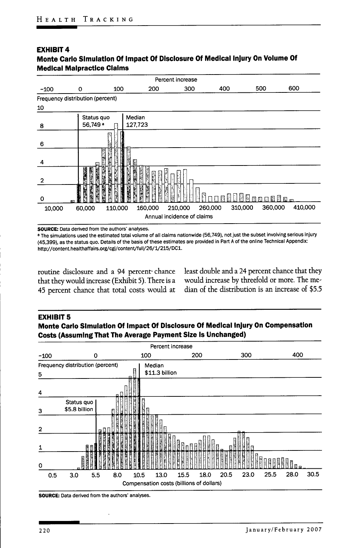#### **EXHIBIT 4 Monte Carlo Simulation Of Impact Of Disclosure Of Medical Injury On Volume Of Medical Malpractice Claims**



SOURCE: Data derived from the authors' analyses.

<sup>a</sup> The simulations used the estimated total volume of all claims nationwide (56,749), not just the subset involving serious injury (45,399), as the status quo. Details of the basis of these estimates are provided in Part A of the oniine Technical Appendix: http://content.healthaffairs.org/cgi/content/full/26/1/215/DC1.

that they would increase (Exhibit 5). There is a would increase by threefold or more. The me-45 percent chance that total costs would at dian of the distribution is an increase of \$5.5

routine disclosure and a 94 percent' chance least double and a 24 percent chance that they

### **EXHIBiT 5**

#### **Monte Carlo Simuiation Of impact Of Disciosure Of Medicai Injury On Compensation Costs (Assuming That The Average Payment Size is Unchanged)**



SOURCE: Data derived from the authors' analyses.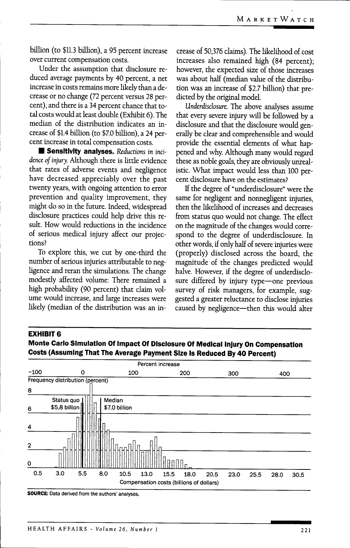billion (to \$11.3 billion), a 95 percent increase over current compensation costs.

Under the assumption that disclosure reduced average payments by 40 percent, a net increase in costs remains more likely than a decrease or no change (72 percent versus 28 percent), and there is a 34 percent chance that total costs would at least double (Exhibit 6). The median of the distribution indicates an increase of \$1.4 billion (to \$7.0 billion), a 24 percent increase in total compensation costs.

**• Sensitivity anaiyses.** *Reductions in inci*dence of injury. Although there is little evidence that rates of adverse events and negligence have decreased appreciably over the past twenty years, with ongoing attention to error prevention and quality improvement, they might do so in the future. Indeed, widespread disclosure practices could help drive this result. How would reductions in the incidence of serious medical injury affect our projections?

To explore this, we cut by one-third the number of serious injuries attributable to negligence and reran the simulations. The change modestly affected volume: There remained a high probability (90 percent) that claim volume would increase, and large increases were likely (median of the distribution was an increase of 50,376 claims). The likelihood of cost increases also remained high (84 percent); however, the expected size of those increases was about half (median value of the distribution was an increase of \$2.7 billion) that predicted by the original model.

*Underdisclosure.* The above analyses assume that every severe injury will be followed by a disclosure and that the disclosure would generally be clear and comprehensible and would provide the essential elements of what happened and why. Although many would regard these as noble goals, they are obviously unrealistic. What impact would less than 100 percent disclosure have on the estimates?

If the degree of "underdisclosure" were the same for negligent and nonnegligent injuries, then the likelihood of increases and decreases from status quo would not change. The effect on the magnitude of the changes would correspond to the degree of underdisclosure. In other words, if only half of severe injuries were (properly) disclosed across the board, the magnitude of the changes predicted would halve. However, if the degree of underdisclosure differed by injury type—one previous survey of risk managers, for example, suggested a greater reluctance to disclose injuries caused by negligence—then this would alter

#### **EXHIBIT 6**

**Monte Carlo Simulation Of Impact Of Disclosure Of Medical Injury On Compensation Costs (Assuming That The Average Payment Size Is Reduced By 40 Percent)**



SOURCE: Data derived from the authors' analyses.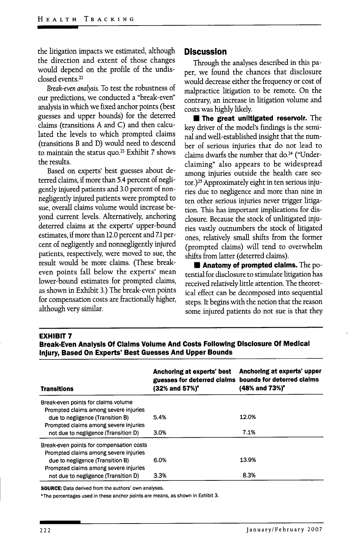the litigation impacts we estimated, although the direction and extent of those changes would depend on the profile of the undisclosed events<sup>22</sup>

*Break-even analysis.* To test the robustness of our predictions, we conducted a "break-even" analysis in which we fixed anchor points (best guesses and upper bounds) for the deterred claims (transitions A and C) and then calculated the levels to which prompted claims (transitions B and D) would need to descend to maintain the status quo.<sup>23</sup> Exhibit 7 shows the results.

Based on experts' best guesses about deterred claims, if more than 5.4 percent of neghgently injured patients and 3.0 percent of nonnegligently injured patients were prompted to sue, overall claims volume would increase beyond current levels. Alternatively, anchoring deterred claims at the experts' upper-bound estimates, if more than 12.0 percent and 7.1 percent of negligently and nonnegligently injured patients, respectively, were moved to sue, the result would be more claims. (These breakeven points fall below the experts' mean lower-bound estimates for prompted claims, as shown in Exhibit 3.) The break-even points for compensation costs are fractionally higher, although very similar.

#### **Discussion**

Through the analyses described in this paper, we found the chances that disclosure would decrease either the frequency or cost of malpractice litigation to be remote. On the contrary, an increase in htigation volume and costs was highly likely.

 $\blacksquare$  The great unlitigated reservoir. The key driver of the model's findings is the seminal and well-established insight that the number of serious injuries that do not lead to claims dwarfs the number that do.<sup>24</sup> ("Underclaiming" also appears to be widespread among injuries outside the health care sector.)<sup>25</sup> Approximately eight in ten serious injuries due to negligence and more than nine in ten other serious injuries never trigger litigation. This has important implications for disclosure. Because the stock of unlitigated injuries vastly outnumbers the stock of litigated ones, relatively small shifts from the former (prompted claims) will tend to overwhelm shifts from latter (deterred claims).

**• Anatomy of prompted claims.** The potential for disclosure to stimulate litigation has received relatively httle attention. The theoretical effect can be decomposed into sequential steps. It begins with the notion that the reason some injured patients do not sue is that they

#### **EXHIBIT 7**

**Break-Even Analysis Of Claims Volume And Costs Following Disclosure Of Medical Injury, Based On Experts' Best Guesses And Upper Bounds**

| <b>Transitions</b>                                                                                                                                        | Anchoring at experts' best<br>guesses for deterred claims<br>$(32\%$ and $57\%)^{\circ}$ | Anchoring at experts' upper<br>bounds for deterred claims<br>(48% and 73%) <sup>®</sup> |
|-----------------------------------------------------------------------------------------------------------------------------------------------------------|------------------------------------------------------------------------------------------|-----------------------------------------------------------------------------------------|
| Break-even points for claims volume<br>Prompted claims among severe injuries<br>due to negligence (Transition B)<br>Prompted claims among severe injuries | 5.4%                                                                                     | 12.0%                                                                                   |
| not due to negligence (Transition D)                                                                                                                      | 3.0%                                                                                     | 7.1%                                                                                    |
| Break-even points for compensation costs<br>Prompted claims among severe injuries                                                                         |                                                                                          |                                                                                         |
| due to negligence (Transition B)<br>Prompted claims among severe injuries                                                                                 | 6.0%                                                                                     | 13.9%                                                                                   |
| not due to negligence (Transition D)                                                                                                                      | 3.3%                                                                                     | 8.3%                                                                                    |

SOURCE: Data derived from the authors' own analyses.

"The percentages used in these anchor points are means, as shown in Exhibit 3.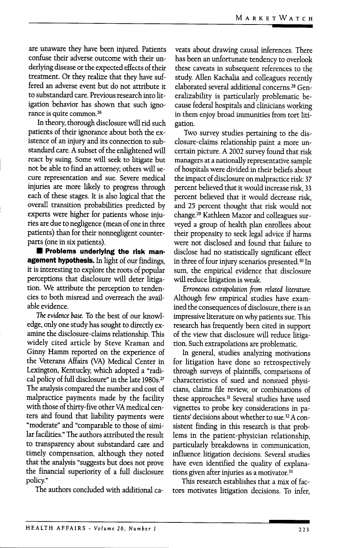are unaware they have been injured. Patients confuse their adverse outcome with their underlying disease or the expected effects of their treatment. Or they realize that they have suffered an adverse event but do not attribute it to substandard care. Previous research into litigation behavior has shown that such ignorance is quite common.<sup>26</sup>

In theory, thorough disclosure will rid such patients of their ignorance about both the existence of an injury and its connection to substandard care. A subset of the enlightened will react by suing. Some will seek to litigate but not be able to find an attorney; others will secure representation and sue. Severe medical injuries are more likely to progress through each of these stages. It is also logical that the overall transition probabilities predicted by experts were higher for patients whose injuries are due to neghgence (mean of one in three patients) than for their nonnegligent counterparts (one in six patients).

 $\blacksquare$  Problems underlying the risk management hypothesis. In light of our findings, it is interesting to explore the roots of popular perceptions that disclosure will deter litigation. We attribute the perception to tendencies to both misread and overreach the available evidence.

*The evidence base* To the best of our knowledge, only one study has sought to directly examine the disclosure-claims relationship. This widely cited article by Steve Kraman and Ginny Hamm reported on the experience of the Veterans Affairs (VA) Medical Center in Lexington, Kentucky, which adopted a "radical policy of full disclosure" in the late 1980s.<sup>27</sup> The analysis compared the number and cost of malpractice payments made by the facility with those of thirty-five other VA medical centers and found that liability payments were "moderate" and "comparable to those of similar facilities." The authors attributed the result to transparency about substandard care and timely compensation, although they noted that the analysis "suggests but does not prove the financial superiority of a full disclosure policy."

The authors concluded with additional ca-

veats about drawing causal inferences. There has been an unfortunate tendency to overlook these caveats in subsequent references to the study. Allen Kachalia and colleagues recently elaborated several additional concerns.^' Generalizability is particularly problematic because federal hospitals and clinicians working in them enjoy broad immunities from tort litigation.

Two survey studies pertaining to the disclosure-claims relationship paint a more uncertain picture. A 2002 survey found that risk managers at a nationally representative sample of hospitals were divided in their behefs about the impact of disclosure on malpractice risk: 37 percent believed that it would increase risk, 33 percent believed that it would decrease risk, and 25 percent thought that risk would not change.<sup>29</sup> Kathleen Mazor and colleagues surveyed a group of health plan enrollees about their propensity to seek legal advice if harms were not disclosed and found that failure to disclose had no statistically significant effect in three of four injury scenarios presented.<sup>30</sup> In sum, the empirical evidence that disclosure will reduce litigation is weak.

*Erroneous extrapolation from related literature.* Although few empirical studies have examined the consequences of disclosure, there is an impressive literature on why patients sue. This research has frequently been cited in support of the view that disclosure will reduce litigation. Such extrapolations are problematic.

In general, studies analyzing motivations for litigation have done so retrospectively through surveys of plaintiffs, comparisons of characteristics of sued and nonsued physicians, claims file review, or combinations of these approaches.<sup>31</sup> Several studies have used vignettes to probe key considerations in patients' decisions about whether to sue.<sup>32</sup> A consistent finding in this research is that problems in the patient-physician relationship, particularly breakdowns in communication, influence litigation decisions. Several studies have even identified the quality of explanations given after injuries as a motivator. $33$ 

This research establishes that a mix of factors motivates litigation decisions. To infer,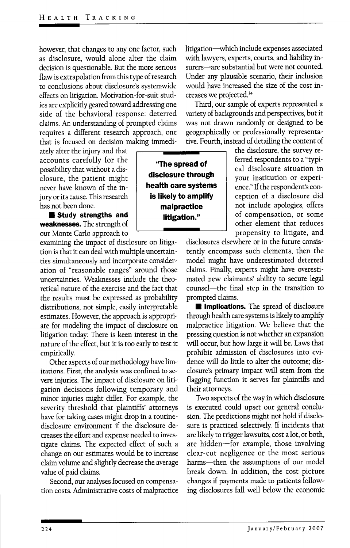however, that changes to any one factor, such as disclosure, would alone alter the claim decision is questionable. But the more serious flaw is extrapolation from this type of research to conclusions about disclosure's systemwide effects on litigation. Motivation-for-suit studies are explicitly geared toward addressing one side of the behavioral response: deterred claims. An understanding of prompted claims requires a different research approach, one that is focused on decision making immedi-

ately after the injury and that accounts carefully for the possibility that without a disclosure, the patient might never have known of the injury or its cause. This research has not been done.

 $\blacksquare$  **Study strengths and weaknesses.** The strength of our Monte Carlo approach to

examining the impact of disclosure on litigation is that it can deal with multiple uncertainties simultaneously and incorporate consideration of "reasonable ranges" around those uncertainties. Weaknesses include the theoretical nature of the exercise and the fact that the results must be expressed as probabihty distributions, not simple, easily interpretable estimates. However, the approach is approptiate for modeling the impact of disclosure on litigation today: There is keen interest in the nature of the effect, but it is too early to test it empirically.

Other aspects of our methodology have limitations. First, the analysis was confined to severe injuries. The impact of disclosure on litigation decisions following temporary and minor injuries might differ. For example, the severity threshold that plaintiffs' attorneys have for taking cases might drop in a routinedisclosure environment if the disclosure decreases the effort and expense needed to investigate claims. The expected effect of such a change on our estimates would be to increase claim volume and slightly decrease the average value of paid claims.

Second, our analyses focused on compensation costs. Administrative costs of malpractice litigation—which include expenses associated with lawyers, experts, courts, and liability insurers—are substantial but were not counted Under any plausible scenario, their inclusion would have increased the size of the cost increases we projected.<sup>34</sup>

Third, our sample of experts represented a variety of backgrounds and perspectives, but it was not drawn randomly or designed to be geographically or professionally representative. Fourth, instead of detailing the content of

**"The spread of disclosure through health care systems is likely to amplify malpractice iitigation."**

the disclosure, the survey referred respondents to a "typical disclosure situation in your institution or experience." If the respondent's conception of a disclosure did not include apologies, offers of compensation, or some other element that reduces propensity to litigate, and

disclosures elsewhere or in the future consistently encompass such elements, then the model might have underestimated deterred claims. Finally, experts might have overestimated new claimants' abihty to secure legal counsel—the final step in the transition to prompted claims.

 $\blacksquare$  **Implications.** The spread of disclosure through health care systems is likely to amplify malpractice litigation. We believe that the pressing question is not whether an expansion will occur, but how large it will be. Laws that prohibit admission of disclosures into evidence will do little to alter the outcome; disclosure's primary impact wiU stem from the flagging function it serves for plaintiffs and their attorneys.

Two aspects of the way in which disclosure is executed could upset our general conclusion. The predictions might not hold if disclosure is practiced selectively. If incidents that are likely to trigger lawsuits, cost a lot, or both, are hidden—for example, those involving clear-cut negligence or the most serious harms—then the assumptions of our model break down. In addition, the cost picture changes if payments made to patients following disclosures fall well below the economic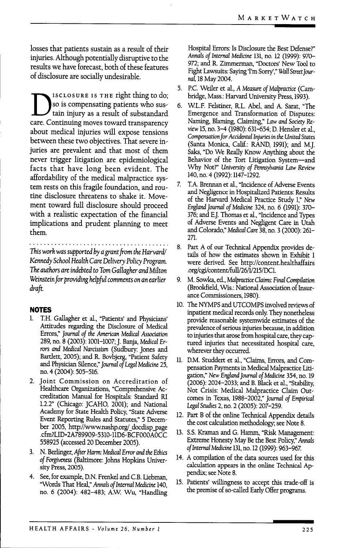losses that patients sustain as a result of their injuries. Although potentially disruptive to the results we have forecast, both of these features of disclosure are socially undesirable.

SO ISCLOSURE IS THE right thing to do;<br>so is compensating patients who sus-<br>tain injury as a result of substandard<br>care. Continuing moves toward transparency ISCLOSURE IS THE right thing to do; so is compensating patients who sustain injury as a result of substandard about medical injuries will expose tensions between these two objectives. That severe injuries are prevalent and that most of them never trigger litigation are epidemiological facts that have long been evident. The affordability of the medical malpractice system rests on this fragile foundation, and routine disclosure threatens to shake it. Movement toward full disclosure should proceed with a realistic expectation of the financial implications and prudent planning to meet them.

*This work was supported by a grant from the Harvard/ Kennedy School Health Care Delivery Policy Program. The authors are indebted to Tom Gallagher and Milton* Weinstein for providing helpful comments on an earlier *draft.*

#### **NOTES**

- 1. T.H. Gallagher et aL, "Patients' and Physicians' Attitudes regarding the Disclosure of Medical Errors," Journal *of the American Medical Association* 289, no. 8 (2003): 1001-1007; J. Banja, *Medical Errors and Medical Narcissism* (Sudbury; Jones and Bardett, 2005); and R. Bovbjerg, "Patient Safety and Physician Silence," *Journal of Legal Medicine* 25, no. 4 (2004): 505-516.
- 2. Joint Commission on Accreditation of Healthcare Organizations, "Comprehensive Accreditation Manual for Hospitals: Standard RI 1.2.2" (Chicago: JCAHO, 2001); and National Academy for State Health Policy, "State Adverse Event Reporting Rules and Statutes," 5 December 2005, http://www.nashp.org/\_docdisp\_page .cfm?LID=2A789909-5310-llD6-BCF000A0CC 558925 (accessed 20 December 2005).
- 3. N. Berlinger, *After Harm Medical Error and the Ethia* of Forgiveness (Baltimore: Johns Hopkins University Press, 2005).
- 4. See, for example, D.N. Frenkel and C.B. Uebman, "Words That Heal," *Annals oflnterml Medicine* 140, no. 6 (2004): 482-483; A.W. Wu, "Handling

Hospital Errors: Is Disclosure the Best Defense?" *Annals of Internal Medicine* 131, no. 12 (1999): 970- 972; and R. Zimmerman, "Doctors' New Tool to Fight Lawsuits: Saying 'I'm Sorry'," Wall Street Journal, 18 May 2004.

- 5. PC. Weiler et al., *A* Measure *of Malpractice* (Cambridge, Mass.: Harvard University Press, 1993).
- 6. W.L.F Felstiner, R.L. Abel, and A. Sarat, "The Emergence and Transformation of Disputes: Naming, Blaming, Claiming," Law *and Society* Review 15, no. 3-4 (1980): 631-654; D. Hensler et al., *Compensationfor Accidental Injuries in the United States* (Santa Monica, Calif.: RAND, 1991); and M.J. Saks, "Do We Really Know Anything about the Behavior of the Tort Litigation System—and Why Not?" University *of Pennsylvania Law* Review 140, no. 4 (1992): 1147-1292.
- 7 TA. Brennan et al., "Incidence of Adverse Events and Negligence in Hospitalized Patients: Results of the Harvard Medical Practice Study I," New *England journal of Medicine* 324, no. 6 (1991): 370- 376; and E.J. Thomas et al., "Incidence and Types of Adverse Events and Negligent Care in Utah and Colorado," Medical *Care* 38, no. 3 (2000): 261- 271.
- 8. Part A of our Technical Appendix provides details of how the estimates shown in Exhibit 1 were derived. See http://content.healthaffairs .org/cgi/content/ful]y26/l/215/DCl.
- 9. M. Sowka, ed, Malpmctice Ciaims: Final *Compilation* (Brookfield, Wis.: National Association of Insurance Commissioners, 1980).
- 10. The NYMPS and UTCOMPS involved reviews of inpatient medical records only They nonetheless provide reasonable systemwide estimates of the prevalence of serious injuries because, in addition to injuries that arose from hospital care, they captured injuries that necessitated hospital care, wherever they occurred.
- 11. D.M. Studdert et al., "Claims, Errors, and Compensation Payments in Medical Malpractice Litigation," New England Journal of Medicine 354, no. 19 (2006): 2024-2033; and B. Black et al., "Stability, Not Crisis: Medical Malpractice Claim Outcomes in Texas, 1988-2002," *jourml of Empirical Legal Studies 2,* no. 2 (2005): 207-259.
- 12. Part B of the online Technical Appendix details the cost calculation methodology; see Note 8.
- 13. S.S. Kraman and G. Hamm, "Risk Management: Extreme Honesty May Be the Best Policy," *Annals* of Internal Medicine 131, no. 12 (1999): 963-967.
- 14. A compilation of the data sources used for this calculation appears in the online Technical Appendix; see Note 8.
- 15. Patients' wiUingness to accept this trade-off is the premise of so-called Early Offer programs.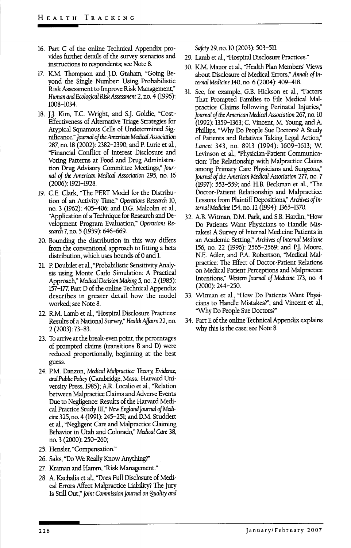- 16. Part C of the online Technical Appendix provides further details of the survey scenarios and instructions to respondents; see Note 8.
- 17. K.M. Thompson and J.D. Graham, "Going Beyond the Single Number: Using Probabilistic Risk Assessment to Improve Risk Management," Human *and* Ecolcgical Risk *Assessment 2,* no. 4 (1996): 1008-1034.
- 18. J.J. Kim, T.C. Wright, and S.J. Goldie, "Cost-Effectiveness of Alternative Triage Strategies for Atypical Squamous Cells of Undetermined Significance," Journal of the American Medical Association 287, no. 18 (2002): 2382-2390; and P. Lurie et al., "Financial Conflict of Interest Disclosure and Voting Patterns at Food and Drug Administration Drug Advisory Committee Meetings," *Journal of the American* Medical *Assodation* 295, no. 16 (2006): 1921-1928.
- 19. C.E. Clark, "The PERT Model for the Distribution of an Activity Time," *Operations Research* 10, no. 3 (1962): 405-406; and D.G. Malcolm et al., "Application of a Technique for Research and Development Program Evaluation," *Operations Research 7,* no. 5 (1959): 646-669.
- 20. Bounding the distribution in this way differs from the conventional approach to fitting a beta distribution, which uses bounds of 0 and 1.
- 21. P. Doubilet et al, "Probabilistic Sensitivity Analysis using Monte Carlo Simulation: A Practical Approach," Medical Decision *Making 5,* no. 2 (1985): 157-177 Part D of the online Technical Appendix describes in greater detail how the model worked; see Note 8.
- 22. R.M. Lamb et al, "Hospital Disclosure Practices: Results of a National Survey," *Health Affairs* 22, no. 2 (2003): 73-83.
- 23. To arrive at the break-even point, the percentages of prompted claims (transitions B and D) were reduced proportionally, beginning at the best guess.
- 24. P.M. Danzon, Medical Malpractice: Theory, *Evidence, and Public Policy* (Cambridge, Mass.: Harvard University Press, 1985); A.R. Localio et al, "Relation between Malpractice Claims and Adverse Events Due to Negligence: Results of the Harvard Medical Practice Study III," New *Englandjoumal of Medidne* 325, no. 4 (1991): 245-251; and D.M. Studdert et al., "Negligent Care and Malpractice Claiming Behavior in Utah and Colorado," *Medical Care* 38, no. 3 (2000): 250-260;
- 25. Hensler, "Compensation."
- 26. Saks, "Do We Really Know Anything?"
- 27. Kraman and Hamm, "Risk Management."
- 28. A. Kachalia et aL, "Does Full Disclosure of Medical Errors Affect Malpractice Liability? The Jury Is Sdll Out," Joint *Commission Journal on* Quality *and*

*Safety* 29, no. 10 (2003): 503-511.

- 29. Lamb et al., "Hospital Disclosure Practices."
- 30. K.M. Mazor et al., "Health Plan Members' Views about Disclosure of Medical Errors," *Annals of Internal Medidne* 140, no. 6 (2004): 409-418.
- 31. See, for example, G.B. Hickson et al., "Factors That Prompted Families to File Medical Malpractice Claims following Perinatal Injuries," *Journal of the AmericanMedical Assodation* 267, no. 10 (1992): 1359-1363; C. Vincent, M. Young, and A. Phillips, "Why Do People Sue Doctors? A Study of Patients and Relatives Taking Legal Action," *Lancet* 343, no. 8913 (1994): 1609-1613; W. Levinson et al., "Physician-Patient Communication: The Relationship with Malpractice Claims among Primary Care Physicians and Surgeons," *Journal of the American* Medical *Assodation* 277, no. 7 (1997): 553-559; and H.B. Beckman et al., "The Doctor-Patient Relationship and Malpractice: Lessons from Plaintiff Deposidons," *Archives of Internal Medidne* 154, no. 12 (1994): 1365-1370.
- 32. A.B. Witman, D.M. Park, and S.B. Hardin, "How Do Patients Want Physicians to Handle Mistakes? A Survey of Internal Medicine Patients in an Academic Setting," Archives of Internal Medicine 156, no. 22 (1996): 2565-2569; and PJ. Moore, N.E. Adler, and PA. Robertson, "Medical Malpractice: The Effect of Doctor-Patient Relations on Medical Patient Perceptions and Malpractice Intendons," *Western Journal of Medidne* 173, no. 4 (2000): 244-250.
- 33. Witman et al., "How Do Padents Want Physicians to Handle Mistakes?"; and Vincent et al., "Why Do People Sue Doctors?"
- 34. Part E of the online Technical Appendix explains why this is the case; see Note 8.